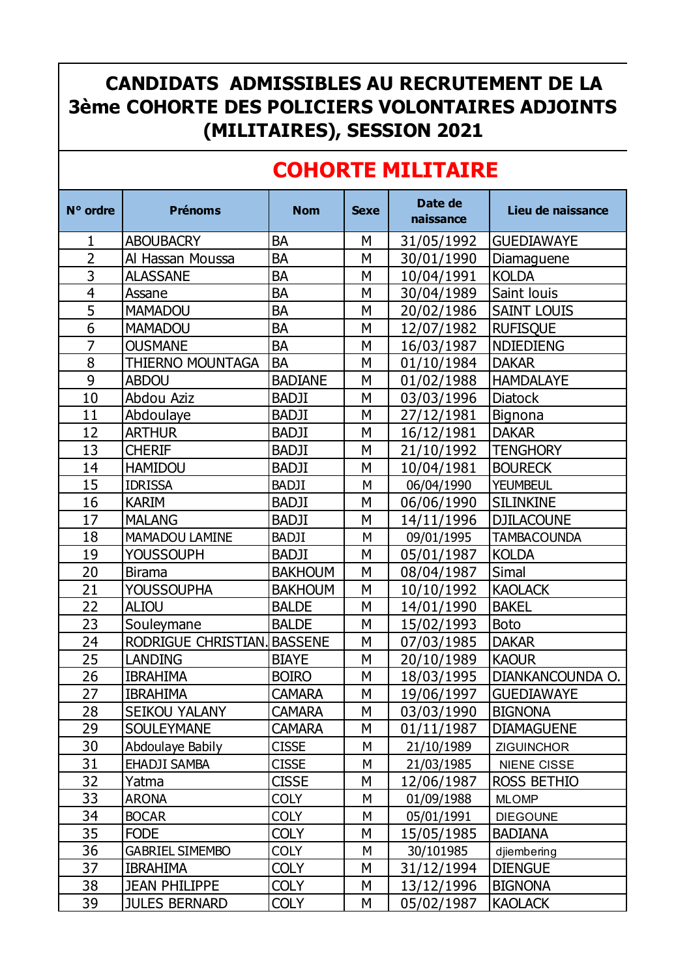## **CANDIDATS ADMISSIBLES AU RECRUTEMENT DE LA 3ème COHORTE DES POLICIERS VOLONTAIRES ADJOINTS (MILITAIRES), SESSION 2021**

## **COHORTE MILITAIRE**

| N° ordre       | <b>Prénoms</b>              | <b>Nom</b>     | <b>Sexe</b> | Date de<br>naissance | Lieu de naissance  |
|----------------|-----------------------------|----------------|-------------|----------------------|--------------------|
| 1              | <b>ABOUBACRY</b>            | <b>BA</b>      | M           | 31/05/1992           | <b>GUEDIAWAYE</b>  |
| $\overline{2}$ | Al Hassan Moussa            | <b>BA</b>      | M           | 30/01/1990           | Diamaguene         |
| $\overline{3}$ | <b>ALASSANE</b>             | <b>BA</b>      | M           | 10/04/1991           | <b>KOLDA</b>       |
| $\overline{4}$ | Assane                      | <b>BA</b>      | M           | 30/04/1989           | Saint louis        |
| $\overline{5}$ | <b>MAMADOU</b>              | <b>BA</b>      | M           | 20/02/1986           | <b>SAINT LOUIS</b> |
| $\overline{6}$ | <b>MAMADOU</b>              | <b>BA</b>      | M           | 12/07/1982           | <b>RUFISQUE</b>    |
| $\overline{7}$ | <b>OUSMANE</b>              | <b>BA</b>      | M           | 16/03/1987           | <b>NDIEDIENG</b>   |
| $\overline{8}$ | THIERNO MOUNTAGA            | <b>BA</b>      | M           | 01/10/1984           | <b>DAKAR</b>       |
| 9              | <b>ABDOU</b>                | <b>BADIANE</b> | M           | 01/02/1988           | <b>HAMDALAYE</b>   |
| 10             | Abdou Aziz                  | <b>BADJI</b>   | M           | 03/03/1996           | <b>Diatock</b>     |
| 11             | Abdoulaye                   | <b>BADJI</b>   | M           | 27/12/1981           | Bignona            |
| 12             | <b>ARTHUR</b>               | <b>BADJI</b>   | M           | 16/12/1981           | <b>DAKAR</b>       |
| 13             | <b>CHERIF</b>               | <b>BADJI</b>   | M           | 21/10/1992           | <b>TENGHORY</b>    |
| 14             | <b>HAMIDOU</b>              | <b>BADJI</b>   | M           | 10/04/1981           | <b>BOURECK</b>     |
| 15             | <b>IDRISSA</b>              | <b>BADJI</b>   | M           | 06/04/1990           | <b>YEUMBEUL</b>    |
| 16             | <b>KARIM</b>                | <b>BADJI</b>   | M           | 06/06/1990           | <b>SILINKINE</b>   |
| 17             | <b>MALANG</b>               | <b>BADJI</b>   | M           | 14/11/1996           | <b>DJILACOUNE</b>  |
| 18             | <b>MAMADOU LAMINE</b>       | <b>BADJI</b>   | M           | 09/01/1995           | <b>TAMBACOUNDA</b> |
| 19             | <b>YOUSSOUPH</b>            | <b>BADJI</b>   | M           | 05/01/1987           | <b>KOLDA</b>       |
| 20             | <b>Birama</b>               | <b>BAKHOUM</b> | M           | 08/04/1987           | <b>Simal</b>       |
| 21             | <b>YOUSSOUPHA</b>           | <b>BAKHOUM</b> | M           | 10/10/1992           | <b>KAOLACK</b>     |
| 22             | <b>ALIOU</b>                | <b>BALDE</b>   | M           | 14/01/1990           | <b>BAKEL</b>       |
| 23             | Souleymane                  | <b>BALDE</b>   | M           | 15/02/1993           | <b>Boto</b>        |
| 24             | RODRIGUE CHRISTIAN. BASSENE |                | M           | 07/03/1985           | <b>DAKAR</b>       |
| 25             | <b>LANDING</b>              | <b>BIAYE</b>   | M           | 20/10/1989           | <b>KAOUR</b>       |
| 26             | <b>IBRAHIMA</b>             | <b>BOIRO</b>   | M           | 18/03/1995           | DIANKANCOUNDA O.   |
| 27             | <b>IBRAHIMA</b>             | <b>CAMARA</b>  | Μ           | 19/06/1997           | <b>GUEDIAWAYE</b>  |
| 28             | SEIKOU YALANY               | <b>CAMARA</b>  | M           | 03/03/1990           | <b>BIGNONA</b>     |
| 29             | <b>SOULEYMANE</b>           | <b>CAMARA</b>  | М           | 01/11/1987           | <b>DIAMAGUENE</b>  |
| 30             | Abdoulaye Babily            | <b>CISSE</b>   | М           | 21/10/1989           | <b>ZIGUINCHOR</b>  |
| 31             | EHADJI SAMBA                | <b>CISSE</b>   | М           | 21/03/1985           | <b>NIENE CISSE</b> |
| 32             | Yatma                       | <b>CISSE</b>   | М           | 12/06/1987           | ROSS BETHIO        |
| 33             | <b>ARONA</b>                | <b>COLY</b>    | M           | 01/09/1988           | <b>MLOMP</b>       |
| 34             | <b>BOCAR</b>                | <b>COLY</b>    | М           | 05/01/1991           | <b>DIEGOUNE</b>    |
| 35             | <b>FODE</b>                 | <b>COLY</b>    | М           | 15/05/1985           | <b>BADIANA</b>     |
| 36             | <b>GABRIEL SIMEMBO</b>      | <b>COLY</b>    | М           | 30/101985            | djiembering        |
| 37             | <b>IBRAHIMA</b>             | <b>COLY</b>    | М           | 31/12/1994           | <b>DIENGUE</b>     |
| 38             | <b>JEAN PHILIPPE</b>        | <b>COLY</b>    | M           | 13/12/1996           | <b>BIGNONA</b>     |
| 39             | <b>JULES BERNARD</b>        | <b>COLY</b>    | М           | 05/02/1987           | <b>KAOLACK</b>     |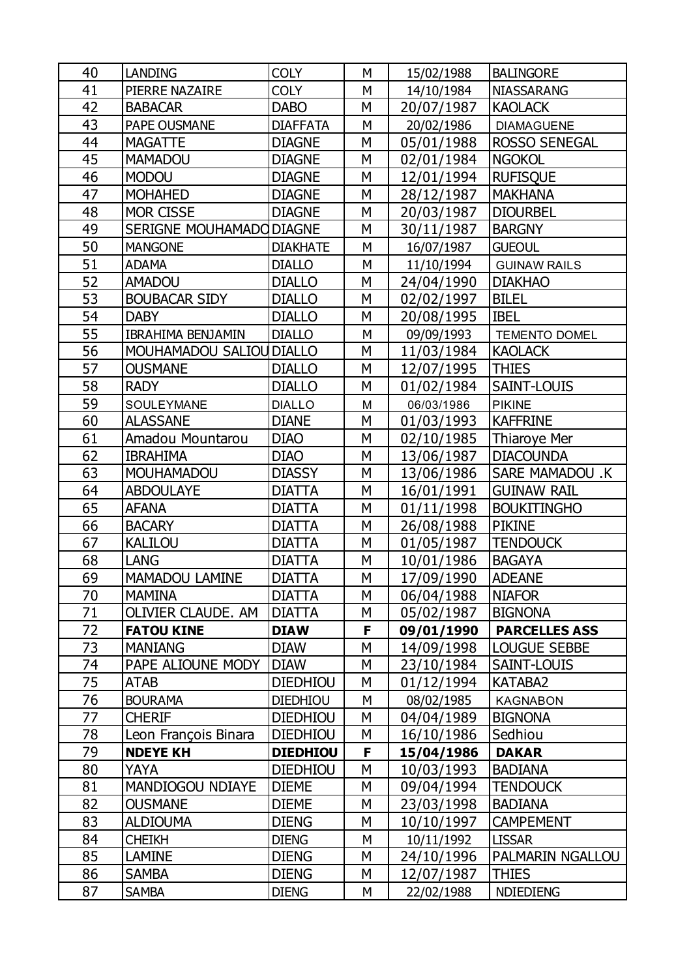| 40 | <b>LANDING</b>           | <b>COLY</b>     | M | 15/02/1988 | <b>BALINGORE</b>       |
|----|--------------------------|-----------------|---|------------|------------------------|
| 41 | PIERRE NAZAIRE           | <b>COLY</b>     | M | 14/10/1984 | <b>NIASSARANG</b>      |
| 42 | <b>BABACAR</b>           | <b>DABO</b>     | М | 20/07/1987 | <b>KAOLACK</b>         |
| 43 | PAPE OUSMANE             | <b>DIAFFATA</b> | M | 20/02/1986 | <b>DIAMAGUENE</b>      |
| 44 | <b>MAGATTE</b>           | <b>DIAGNE</b>   | М | 05/01/1988 | <b>ROSSO SENEGAL</b>   |
| 45 | <b>MAMADOU</b>           | <b>DIAGNE</b>   | M | 02/01/1984 | <b>NGOKOL</b>          |
| 46 | <b>MODOU</b>             | <b>DIAGNE</b>   | M | 12/01/1994 | <b>RUFISQUE</b>        |
| 47 | <b>MOHAHED</b>           | <b>DIAGNE</b>   | M | 28/12/1987 | <b>MAKHANA</b>         |
| 48 | MOR CISSE                | <b>DIAGNE</b>   | М | 20/03/1987 | <b>DIOURBEL</b>        |
| 49 | SERIGNE MOUHAMADO DIAGNE |                 | M | 30/11/1987 | <b>BARGNY</b>          |
| 50 | <b>MANGONE</b>           | <b>DIAKHATE</b> | M | 16/07/1987 | <b>GUEOUL</b>          |
| 51 | <b>ADAMA</b>             | <b>DIALLO</b>   | M | 11/10/1994 | <b>GUINAW RAILS</b>    |
| 52 | <b>AMADOU</b>            | <b>DIALLO</b>   | М | 24/04/1990 | <b>DIAKHAO</b>         |
| 53 | <b>BOUBACAR SIDY</b>     | <b>DIALLO</b>   | M | 02/02/1997 | <b>BILEL</b>           |
| 54 | <b>DABY</b>              | <b>DIALLO</b>   | M | 20/08/1995 | <b>IBEL</b>            |
| 55 | <b>IBRAHIMA BENJAMIN</b> | <b>DIALLO</b>   | M | 09/09/1993 | <b>TEMENTO DOMEL</b>   |
| 56 | MOUHAMADOU SALIOU DIALLO |                 | M | 11/03/1984 | <b>KAOLACK</b>         |
| 57 | <b>OUSMANE</b>           | <b>DIALLO</b>   | M | 12/07/1995 | <b>THIES</b>           |
| 58 | <b>RADY</b>              | <b>DIALLO</b>   | M | 01/02/1984 | SAINT-LOUIS            |
| 59 | SOULEYMANE               | <b>DIALLO</b>   | M | 06/03/1986 | <b>PIKINE</b>          |
| 60 | <b>ALASSANE</b>          | <b>DIANE</b>    | M | 01/03/1993 | <b>KAFFRINE</b>        |
| 61 | Amadou Mountarou         | <b>DIAO</b>     | M | 02/10/1985 | <b>Thiaroye Mer</b>    |
| 62 | <b>IBRAHIMA</b>          | <b>DIAO</b>     | M | 13/06/1987 | <b>DIACOUNDA</b>       |
| 63 | <b>MOUHAMADOU</b>        | <b>DIASSY</b>   | M | 13/06/1986 | <b>SARE MAMADOU .K</b> |
| 64 | <b>ABDOULAYE</b>         | <b>DIATTA</b>   | M | 16/01/1991 | <b>GUINAW RAIL</b>     |
| 65 | <b>AFANA</b>             | <b>DIATTA</b>   | M | 01/11/1998 | <b>BOUKITINGHO</b>     |
| 66 | <b>BACARY</b>            | <b>DIATTA</b>   | M | 26/08/1988 | <b>PIKINE</b>          |
| 67 | <b>KALILOU</b>           | <b>DIATTA</b>   | M | 01/05/1987 | <b>TENDOUCK</b>        |
| 68 | <b>LANG</b>              | <b>DIATTA</b>   | M | 10/01/1986 | <b>BAGAYA</b>          |
| 69 | MAMADOU LAMINE           | <b>DIATTA</b>   | M | 17/09/1990 | <b>ADEANE</b>          |
| 70 | <b>MAMINA</b>            | <b>DIATTA</b>   | M | 06/04/1988 | <b>NIAFOR</b>          |
| 71 | OLIVIER CLAUDE. AM       | <b>DIATTA</b>   | M | 05/02/1987 | <b>BIGNONA</b>         |
| 72 | <b>FATOU KINE</b>        | <b>DIAW</b>     | F | 09/01/1990 | <b>PARCELLES ASS</b>   |
| 73 | <b>MANIANG</b>           | <b>DIAW</b>     | M | 14/09/1998 | <b>LOUGUE SEBBE</b>    |
| 74 | PAPE ALIOUNE MODY        | <b>DIAW</b>     | М | 23/10/1984 | SAINT-LOUIS            |
| 75 | <b>ATAB</b>              | <b>DIEDHIOU</b> | M | 01/12/1994 | KATABA2                |
| 76 | <b>BOURAMA</b>           | <b>DIEDHIOU</b> | M | 08/02/1985 | <b>KAGNABON</b>        |
| 77 | <b>CHERIF</b>            | <b>DIEDHIOU</b> | М | 04/04/1989 | <b>BIGNONA</b>         |
| 78 | Leon François Binara     | <b>DIEDHIOU</b> | M | 16/10/1986 | Sedhiou                |
| 79 | <b>NDEYE KH</b>          | <b>DIEDHIOU</b> | F | 15/04/1986 | <b>DAKAR</b>           |
| 80 | <b>YAYA</b>              | <b>DIEDHIOU</b> | М | 10/03/1993 | <b>BADIANA</b>         |
| 81 | <b>MANDIOGOU NDIAYE</b>  | <b>DIEME</b>    | M | 09/04/1994 | <b>TENDOUCK</b>        |
| 82 | <b>OUSMANE</b>           | <b>DIEME</b>    | М | 23/03/1998 | <b>BADIANA</b>         |
| 83 | <b>ALDIOUMA</b>          | <b>DIENG</b>    | M | 10/10/1997 | <b>CAMPEMENT</b>       |
| 84 | <b>CHEIKH</b>            | <b>DIENG</b>    | M | 10/11/1992 | <b>LISSAR</b>          |
| 85 | <b>LAMINE</b>            | <b>DIENG</b>    | M | 24/10/1996 | PALMARIN NGALLOU       |
| 86 | <b>SAMBA</b>             | <b>DIENG</b>    | M | 12/07/1987 | <b>THIES</b>           |
| 87 | <b>SAMBA</b>             | <b>DIENG</b>    | М | 22/02/1988 | <b>NDIEDIENG</b>       |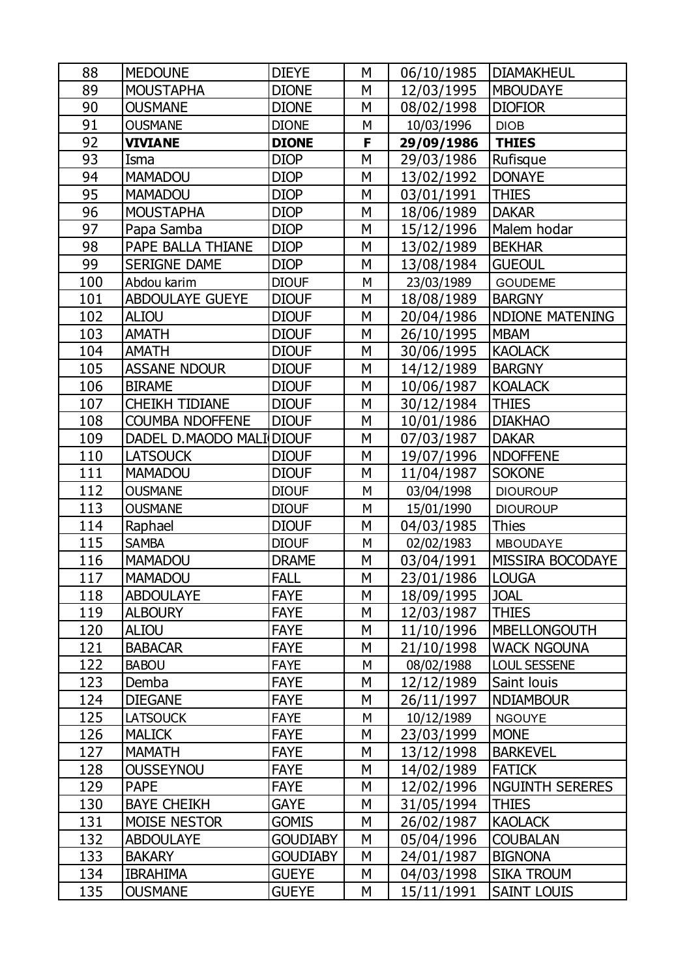| 88  | <b>MEDOUNE</b>           | <b>DIEYE</b>    | M | 06/10/1985 | <b>DIAMAKHEUL</b>      |
|-----|--------------------------|-----------------|---|------------|------------------------|
| 89  | <b>MOUSTAPHA</b>         | <b>DIONE</b>    | M | 12/03/1995 | <b>MBOUDAYE</b>        |
| 90  | <b>OUSMANE</b>           | <b>DIONE</b>    | M | 08/02/1998 | <b>DIOFIOR</b>         |
| 91  | <b>OUSMANE</b>           | <b>DIONE</b>    | M | 10/03/1996 | <b>DIOB</b>            |
| 92  | <b>VIVIANE</b>           | <b>DIONE</b>    | F | 29/09/1986 | <b>THIES</b>           |
| 93  | Isma                     | <b>DIOP</b>     | M | 29/03/1986 | Rufisque               |
| 94  | <b>MAMADOU</b>           | <b>DIOP</b>     | M | 13/02/1992 | <b>DONAYE</b>          |
| 95  | <b>MAMADOU</b>           | <b>DIOP</b>     | M | 03/01/1991 | <b>THIES</b>           |
| 96  | <b>MOUSTAPHA</b>         | <b>DIOP</b>     | M | 18/06/1989 | <b>DAKAR</b>           |
| 97  | Papa Samba               | <b>DIOP</b>     | M | 15/12/1996 | Malem hodar            |
| 98  | PAPE BALLA THIANE        | <b>DIOP</b>     | M | 13/02/1989 | <b>BEKHAR</b>          |
| 99  | <b>SERIGNE DAME</b>      | <b>DIOP</b>     | M | 13/08/1984 | <b>GUEOUL</b>          |
| 100 | Abdou karim              | <b>DIOUF</b>    | M | 23/03/1989 | <b>GOUDEME</b>         |
| 101 | <b>ABDOULAYE GUEYE</b>   | <b>DIOUF</b>    | M | 18/08/1989 | <b>BARGNY</b>          |
| 102 | <b>ALIOU</b>             | <b>DIOUF</b>    | M | 20/04/1986 | <b>NDIONE MATENING</b> |
| 103 | <b>AMATH</b>             | <b>DIOUF</b>    | M | 26/10/1995 | <b>MBAM</b>            |
| 104 | <b>AMATH</b>             | <b>DIOUF</b>    | M | 30/06/1995 | <b>KAOLACK</b>         |
| 105 | <b>ASSANE NDOUR</b>      | <b>DIOUF</b>    | M | 14/12/1989 | <b>BARGNY</b>          |
| 106 | <b>BIRAME</b>            | <b>DIOUF</b>    | M | 10/06/1987 | <b>KOALACK</b>         |
| 107 | <b>CHEIKH TIDIANE</b>    | <b>DIOUF</b>    | M | 30/12/1984 | <b>THIES</b>           |
| 108 | <b>COUMBA NDOFFENE</b>   | <b>DIOUF</b>    | M | 10/01/1986 | <b>DIAKHAO</b>         |
| 109 | DADEL D.MAODO MALI DIOUF |                 | M | 07/03/1987 | <b>DAKAR</b>           |
| 110 | <b>LATSOUCK</b>          | <b>DIOUF</b>    | M | 19/07/1996 | <b>NDOFFENE</b>        |
| 111 | <b>MAMADOU</b>           | <b>DIOUF</b>    | M | 11/04/1987 | <b>SOKONE</b>          |
| 112 | <b>OUSMANE</b>           | <b>DIOUF</b>    | М | 03/04/1998 | <b>DIOUROUP</b>        |
| 113 | <b>OUSMANE</b>           | <b>DIOUF</b>    | M | 15/01/1990 | <b>DIOUROUP</b>        |
| 114 | Raphael                  | <b>DIOUF</b>    | M | 04/03/1985 | Thies                  |
| 115 | <b>SAMBA</b>             | <b>DIOUF</b>    | M | 02/02/1983 | <b>MBOUDAYE</b>        |
| 116 | <b>MAMADOU</b>           | <b>DRAME</b>    | M | 03/04/1991 | MISSIRA BOCODAYE       |
| 117 | <b>MAMADOU</b>           | <b>FALL</b>     | M | 23/01/1986 | <b>LOUGA</b>           |
| 118 | <b>ABDOULAYE</b>         | <b>FAYE</b>     | M | 18/09/1995 | <b>JOAL</b>            |
| 119 | <b>ALBOURY</b>           | <b>FAYE</b>     | M | 12/03/1987 | <b>THIES</b>           |
| 120 | <b>ALIOU</b>             | <b>FAYE</b>     | M | 11/10/1996 | <b>MBELLONGOUTH</b>    |
| 121 | <b>BABACAR</b>           | <b>FAYE</b>     | M | 21/10/1998 | <b>WACK NGOUNA</b>     |
| 122 | <b>BABOU</b>             | <b>FAYE</b>     | M | 08/02/1988 | <b>LOUL SESSENE</b>    |
| 123 | Demba                    | <b>FAYE</b>     | M | 12/12/1989 | Saint louis            |
| 124 | <b>DIEGANE</b>           | <b>FAYE</b>     | M | 26/11/1997 | <b>NDIAMBOUR</b>       |
| 125 | <b>LATSOUCK</b>          | <b>FAYE</b>     | M | 10/12/1989 | <b>NGOUYE</b>          |
| 126 | <b>MALICK</b>            | <b>FAYE</b>     | M | 23/03/1999 | <b>MONE</b>            |
| 127 | <b>MAMATH</b>            | <b>FAYE</b>     | M | 13/12/1998 | <b>BARKEVEL</b>        |
| 128 | <b>OUSSEYNOU</b>         | <b>FAYE</b>     | M | 14/02/1989 | <b>FATICK</b>          |
| 129 | <b>PAPE</b>              | <b>FAYE</b>     | M | 12/02/1996 | <b>NGUINTH SERERES</b> |
| 130 | <b>BAYE CHEIKH</b>       | GAYE            | M | 31/05/1994 | <b>THIES</b>           |
| 131 | <b>MOISE NESTOR</b>      | <b>GOMIS</b>    | M | 26/02/1987 | <b>KAOLACK</b>         |
| 132 | <b>ABDOULAYE</b>         | <b>GOUDIABY</b> | M | 05/04/1996 | <b>COUBALAN</b>        |
| 133 | <b>BAKARY</b>            | <b>GOUDIABY</b> | M | 24/01/1987 | <b>BIGNONA</b>         |
| 134 | <b>IBRAHIMA</b>          | <b>GUEYE</b>    | M | 04/03/1998 | <b>SIKA TROUM</b>      |
| 135 | <b>OUSMANE</b>           | <b>GUEYE</b>    | М | 15/11/1991 | <b>SAINT LOUIS</b>     |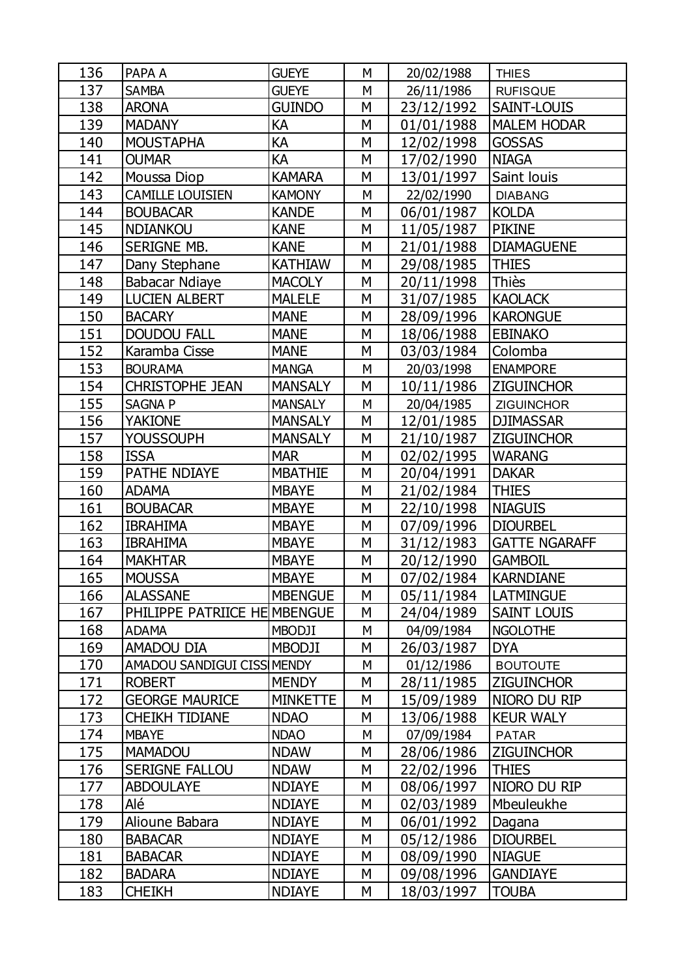| 136 | PAPA A                       | <b>GUEYE</b>    | M | 20/02/1988 | <b>THIES</b>         |
|-----|------------------------------|-----------------|---|------------|----------------------|
| 137 | <b>SAMBA</b>                 | <b>GUEYE</b>    | M | 26/11/1986 | <b>RUFISQUE</b>      |
| 138 | <b>ARONA</b>                 | <b>GUINDO</b>   | М | 23/12/1992 | SAINT-LOUIS          |
| 139 | <b>MADANY</b>                | KА              | M | 01/01/1988 | <b>MALEM HODAR</b>   |
| 140 | <b>MOUSTAPHA</b>             | КA              | M | 12/02/1998 | <b>GOSSAS</b>        |
| 141 | <b>OUMAR</b>                 | КA              | M | 17/02/1990 | <b>NIAGA</b>         |
| 142 | Moussa Diop                  | <b>KAMARA</b>   | M | 13/01/1997 | Saint louis          |
| 143 | <b>CAMILLE LOUISIEN</b>      | <b>KAMONY</b>   | M | 22/02/1990 | <b>DIABANG</b>       |
| 144 | <b>BOUBACAR</b>              | <b>KANDE</b>    | М | 06/01/1987 | <b>KOLDA</b>         |
| 145 | <b>NDIANKOU</b>              | <b>KANE</b>     | M | 11/05/1987 | <b>PIKINE</b>        |
| 146 | SERIGNE MB.                  | <b>KANE</b>     | M | 21/01/1988 | <b>DIAMAGUENE</b>    |
| 147 | Dany Stephane                | <b>KATHIAW</b>  | M | 29/08/1985 | <b>THIES</b>         |
| 148 | Babacar Ndiaye               | <b>MACOLY</b>   | M | 20/11/1998 | Thiès                |
| 149 | <b>LUCIEN ALBERT</b>         | <b>MALELE</b>   | M | 31/07/1985 | <b>KAOLACK</b>       |
| 150 | <b>BACARY</b>                | <b>MANE</b>     | M | 28/09/1996 | <b>KARONGUE</b>      |
| 151 | <b>DOUDOU FALL</b>           | <b>MANE</b>     | M | 18/06/1988 | <b>EBINAKO</b>       |
| 152 | Karamba Cisse                | <b>MANE</b>     | M | 03/03/1984 | Colomba              |
| 153 | <b>BOURAMA</b>               | <b>MANGA</b>    | M | 20/03/1998 | <b>ENAMPORE</b>      |
| 154 | <b>CHRISTOPHE JEAN</b>       | <b>MANSALY</b>  | М | 10/11/1986 | <b>ZIGUINCHOR</b>    |
| 155 | SAGNA P                      | <b>MANSALY</b>  | M | 20/04/1985 | <b>ZIGUINCHOR</b>    |
| 156 | <b>YAKIONE</b>               | <b>MANSALY</b>  | M | 12/01/1985 | <b>DJIMASSAR</b>     |
| 157 | <b>YOUSSOUPH</b>             | <b>MANSALY</b>  | М | 21/10/1987 | <b>ZIGUINCHOR</b>    |
| 158 | <b>ISSA</b>                  | <b>MAR</b>      | M | 02/02/1995 | <b>WARANG</b>        |
| 159 | <b>PATHE NDIAYE</b>          | <b>MBATHIE</b>  | M | 20/04/1991 | <b>DAKAR</b>         |
| 160 | <b>ADAMA</b>                 | <b>MBAYE</b>    | M | 21/02/1984 | <b>THIES</b>         |
| 161 | <b>BOUBACAR</b>              | <b>MBAYE</b>    | M | 22/10/1998 | <b>NIAGUIS</b>       |
| 162 | <b>IBRAHIMA</b>              | <b>MBAYE</b>    | M | 07/09/1996 | <b>DIOURBEL</b>      |
| 163 | <b>IBRAHIMA</b>              | <b>MBAYE</b>    | M | 31/12/1983 | <b>GATTE NGARAFF</b> |
| 164 | <b>MAKHTAR</b>               | <b>MBAYE</b>    | M | 20/12/1990 | <b>GAMBOIL</b>       |
| 165 | <b>MOUSSA</b>                | <b>MBAYE</b>    | M | 07/02/1984 | <b>KARNDIANE</b>     |
| 166 | <b>ALASSANE</b>              | <b>MBENGUE</b>  | М | 05/11/1984 | <b>LATMINGUE</b>     |
| 167 | PHILIPPE PATRIICE HE MBENGUE |                 | M | 24/04/1989 | <b>SAINT LOUIS</b>   |
| 168 | <b>ADAMA</b>                 | <b>MBODJI</b>   | М | 04/09/1984 | <b>NGOLOTHE</b>      |
| 169 | AMADOU DIA                   | <b>MBODJI</b>   | M | 26/03/1987 | <b>DYA</b>           |
| 170 | AMADOU SANDIGUI CISS MENDY   |                 | М | 01/12/1986 | <b>BOUTOUTE</b>      |
| 171 | <b>ROBERT</b>                | <b>MENDY</b>    | M | 28/11/1985 | <b>ZIGUINCHOR</b>    |
| 172 | <b>GEORGE MAURICE</b>        | <b>MINKETTE</b> | M | 15/09/1989 | NIORO DU RIP         |
| 173 | <b>CHEIKH TIDIANE</b>        | <b>NDAO</b>     | M | 13/06/1988 | <b>KEUR WALY</b>     |
| 174 | <b>MBAYE</b>                 | <b>NDAO</b>     | М | 07/09/1984 | <b>PATAR</b>         |
| 175 | <b>MAMADOU</b>               | <b>NDAW</b>     | M | 28/06/1986 | <b>ZIGUINCHOR</b>    |
| 176 | SERIGNE FALLOU               | <b>NDAW</b>     | M | 22/02/1996 | <b>THIES</b>         |
| 177 | <b>ABDOULAYE</b>             | <b>NDIAYE</b>   | M | 08/06/1997 | NIORO DU RIP         |
| 178 | Alé                          | <b>NDIAYE</b>   | M | 02/03/1989 | Mbeuleukhe           |
| 179 | Alioune Babara               | <b>NDIAYE</b>   | M | 06/01/1992 | Dagana               |
| 180 | <b>BABACAR</b>               | <b>NDIAYE</b>   | M | 05/12/1986 | <b>DIOURBEL</b>      |
| 181 | <b>BABACAR</b>               | <b>NDIAYE</b>   | M | 08/09/1990 | <b>NIAGUE</b>        |
| 182 | <b>BADARA</b>                | <b>NDIAYE</b>   | М | 09/08/1996 | <b>GANDIAYE</b>      |
| 183 | <b>CHEIKH</b>                | <b>NDIAYE</b>   | М | 18/03/1997 | <b>TOUBA</b>         |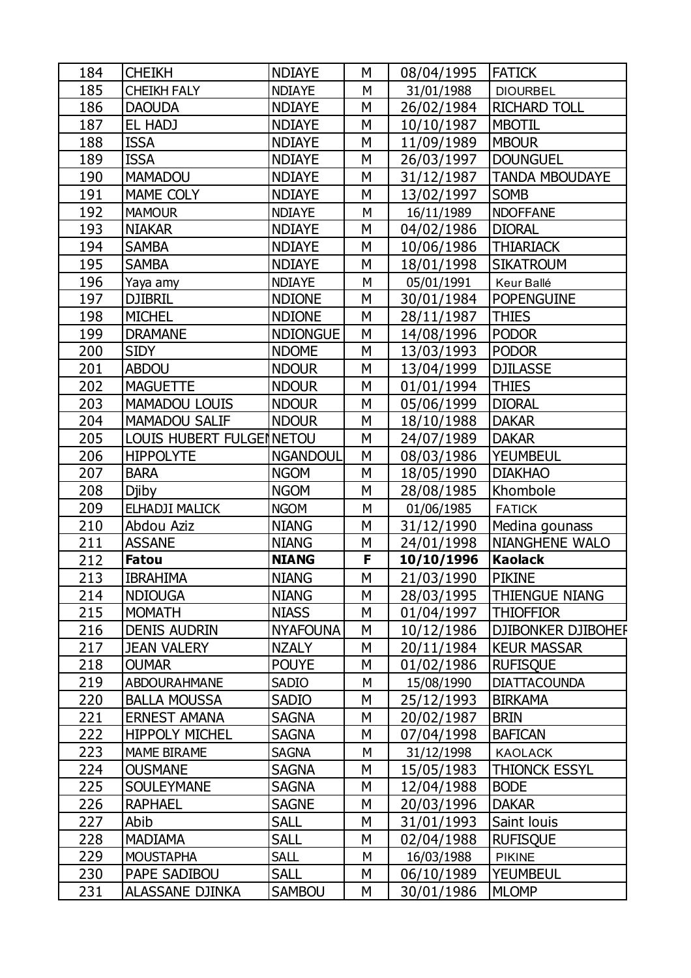| 184               | <b>CHEIKH</b>                          | <b>NDIAYE</b>                | М      | 08/04/1995               | <b>FATICK</b>                   |
|-------------------|----------------------------------------|------------------------------|--------|--------------------------|---------------------------------|
| 185               | <b>CHEIKH FALY</b>                     | <b>NDIAYE</b>                | M      | 31/01/1988               | <b>DIOURBEL</b>                 |
| 186               | <b>DAOUDA</b>                          | <b>NDIAYE</b>                | M      | 26/02/1984               | <b>RICHARD TOLL</b>             |
| 187               | EL HADJ                                | <b>NDIAYE</b>                | M      | 10/10/1987               | <b>MBOTIL</b>                   |
| 188               | <b>ISSA</b>                            | <b>NDIAYE</b>                | М      | 11/09/1989               | <b>MBOUR</b>                    |
| 189               | <b>ISSA</b>                            | <b>NDIAYE</b>                | M      | 26/03/1997               | <b>DOUNGUEL</b>                 |
| 190               | <b>MAMADOU</b>                         | <b>NDIAYE</b>                | M      | 31/12/1987               | <b>TANDA MBOUDAYE</b>           |
| 191               | MAME COLY                              | <b>NDIAYE</b>                | М      | 13/02/1997               | <b>SOMB</b>                     |
| 192               | <b>MAMOUR</b>                          | <b>NDIAYE</b>                | M      | 16/11/1989               | <b>NDOFFANE</b>                 |
| 193               | <b>NIAKAR</b>                          | <b>NDIAYE</b>                | M      | 04/02/1986               | <b>DIORAL</b>                   |
| 194               | <b>SAMBA</b>                           | <b>NDIAYE</b>                | М      | 10/06/1986               | <b>THIARIACK</b>                |
| 195               | <b>SAMBA</b>                           | <b>NDIAYE</b>                | M      | 18/01/1998               | <b>SIKATROUM</b>                |
| 196               | Yaya amy                               | <b>NDIAYE</b>                | M      | 05/01/1991               | Keur Ballé                      |
| 197               | <b>DJIBRIL</b>                         | <b>NDIONE</b>                | M      | 30/01/1984               | <b>POPENGUINE</b>               |
| 198               | <b>MICHEL</b>                          | <b>NDIONE</b>                | M      | 28/11/1987               | <b>THIES</b>                    |
| 199               | <b>DRAMANE</b>                         | <b>NDIONGUE</b>              | M      | 14/08/1996               | <b>PODOR</b>                    |
| 200               | <b>SIDY</b>                            | <b>NDOME</b>                 | M      | 13/03/1993               | <b>PODOR</b>                    |
| 201               | <b>ABDOU</b>                           | <b>NDOUR</b>                 | M      | 13/04/1999               | <b>DJILASSE</b>                 |
| 202               | <b>MAGUETTE</b>                        | <b>NDOUR</b>                 | М      | 01/01/1994               | <b>THIES</b>                    |
| 203               | <b>MAMADOU LOUIS</b>                   | <b>NDOUR</b>                 | M      | 05/06/1999               | <b>DIORAL</b>                   |
| 204               | <b>MAMADOU SALIF</b>                   | <b>NDOUR</b>                 | M      | 18/10/1988               | <b>DAKAR</b>                    |
| 205               | LOUIS HUBERT FULGEINETOU               |                              | M      | 24/07/1989               | <b>DAKAR</b>                    |
| 206               | <b>HIPPOLYTE</b>                       | <b>NGANDOUL</b>              | M      | 08/03/1986               | <b>YEUMBEUL</b>                 |
| 207               | <b>BARA</b>                            | <b>NGOM</b>                  | M      | 18/05/1990               | <b>DIAKHAO</b>                  |
| 208               | <b>Djiby</b>                           | <b>NGOM</b>                  | М      | 28/08/1985               | Khombole                        |
| 209               | ELHADJI MALICK                         | <b>NGOM</b>                  | M      | 01/06/1985               | <b>FATICK</b>                   |
| 210               | Abdou Aziz                             | <b>NIANG</b>                 | M      | 31/12/1990               | Medina gounass                  |
| 211               | <b>ASSANE</b>                          | <b>NIANG</b>                 | M      | 24/01/1998               | <b>NIANGHENE WALO</b>           |
| 212               | <b>Fatou</b>                           | <b>NIANG</b>                 | F      | 10/10/1996               | <b>Kaolack</b>                  |
| 213               | <b>IBRAHIMA</b>                        | <b>NIANG</b>                 | M      | 21/03/1990               | <b>PIKINE</b>                   |
| 214               | <b>NDIOUGA</b>                         | <b>NIANG</b>                 | M      | 28/03/1995               | <b>THIENGUE NIANG</b>           |
| 215               | <b>MOMATH</b>                          | <b>NIASS</b>                 | M      | 01/04/1997               | <b>THIOFFIOR</b>                |
| 216               | <b>DENIS AUDRIN</b>                    | <b>NYAFOUNA</b>              | M      | 10/12/1986               | <b>DJIBONKER DJIBOHEF</b>       |
| 217               | <b>JEAN VALERY</b>                     | <b>NZALY</b>                 | M      | 20/11/1984               | <b>KEUR MASSAR</b>              |
| 218               | <b>OUMAR</b>                           | <b>POUYE</b>                 | M      | 01/02/1986               | <b>RUFISQUE</b>                 |
| 219               | <b>ABDOURAHMANE</b>                    | <b>SADIO</b>                 | М      | 15/08/1990               | <b>DIATTACOUNDA</b>             |
| 220               | <b>BALLA MOUSSA</b>                    | <b>SADIO</b>                 | M      | 25/12/1993               | <b>BIRKAMA</b>                  |
| 221               | <b>ERNEST AMANA</b>                    | <b>SAGNA</b>                 | M      | 20/02/1987               | <b>BRIN</b>                     |
| 222               | <b>HIPPOLY MICHEL</b>                  | <b>SAGNA</b>                 | M      | 07/04/1998               | <b>BAFICAN</b>                  |
| 223               | <b>MAME BIRAME</b>                     | <b>SAGNA</b>                 | М      | 31/12/1998               | <b>KAOLACK</b>                  |
| 224               | <b>OUSMANE</b>                         | <b>SAGNA</b>                 | M      | 15/05/1983               | <b>THIONCK ESSYL</b>            |
| 225               | <b>SOULEYMANE</b>                      | <b>SAGNA</b>                 | M      | 12/04/1988               | <b>BODE</b>                     |
| 226               | <b>RAPHAEL</b>                         | <b>SAGNE</b>                 | M      | 20/03/1996               | <b>DAKAR</b>                    |
| 227               | Abib                                   | <b>SALL</b>                  | M      | 31/01/1993               | Saint louis                     |
| 228               |                                        |                              |        |                          |                                 |
|                   |                                        |                              |        |                          |                                 |
|                   | <b>MADIAMA</b>                         | <b>SALL</b>                  | M      | 02/04/1988               | <b>RUFISQUE</b>                 |
| 229               | <b>MOUSTAPHA</b>                       | <b>SALL</b>                  | М      | 16/03/1988               | <b>PIKINE</b>                   |
| 230<br><u>231</u> | PAPE SADIBOU<br><b>ALASSANE DJINKA</b> | <b>SALL</b><br><b>SAMBOU</b> | M<br>M | 06/10/1989<br>30/01/1986 | <b>YEUMBEUL</b><br><b>MLOMP</b> |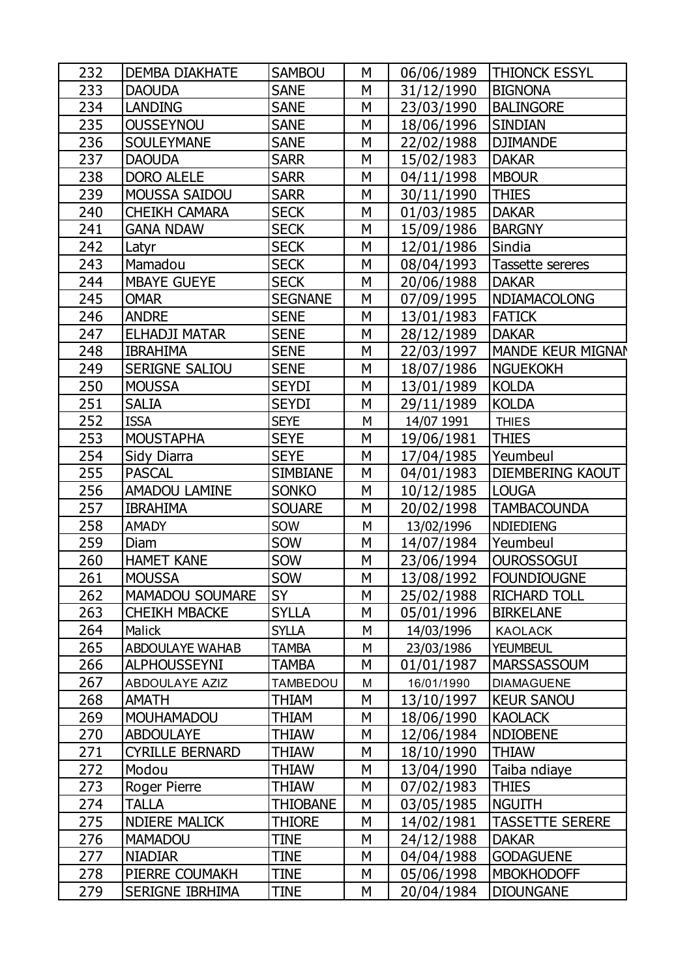| 232 | <b>DEMBA DIAKHATE</b>  | <b>SAMBOU</b>   | М | 06/06/1989 | <b>THIONCK ESSYL</b>     |
|-----|------------------------|-----------------|---|------------|--------------------------|
| 233 | <b>DAOUDA</b>          | <b>SANE</b>     | М | 31/12/1990 | <b>BIGNONA</b>           |
| 234 | <b>LANDING</b>         | <b>SANE</b>     | М | 23/03/1990 | <b>BALINGORE</b>         |
| 235 | <b>OUSSEYNOU</b>       | <b>SANE</b>     | М | 18/06/1996 | <b>SINDIAN</b>           |
| 236 | <b>SOULEYMANE</b>      | <b>SANE</b>     | М | 22/02/1988 | <b>DJIMANDE</b>          |
| 237 | <b>DAOUDA</b>          | <b>SARR</b>     | М | 15/02/1983 | <b>DAKAR</b>             |
| 238 | <b>DORO ALELE</b>      | <b>SARR</b>     | М | 04/11/1998 | <b>MBOUR</b>             |
| 239 | <b>MOUSSA SAIDOU</b>   | <b>SARR</b>     | М | 30/11/1990 | <b>THIES</b>             |
| 240 | <b>CHEIKH CAMARA</b>   | <b>SECK</b>     | М | 01/03/1985 | <b>DAKAR</b>             |
| 241 | <b>GANA NDAW</b>       | <b>SECK</b>     | М | 15/09/1986 | <b>BARGNY</b>            |
| 242 | Latyr                  | <b>SECK</b>     | М | 12/01/1986 | Sindia                   |
| 243 | Mamadou                | <b>SECK</b>     | М | 08/04/1993 | Tassette sereres         |
| 244 | <b>MBAYE GUEYE</b>     | <b>SECK</b>     | М | 20/06/1988 | <b>DAKAR</b>             |
| 245 | <b>OMAR</b>            | <b>SEGNANE</b>  | М | 07/09/1995 | <b>NDIAMACOLONG</b>      |
| 246 | <b>ANDRE</b>           | <b>SENE</b>     | М | 13/01/1983 | <b>FATICK</b>            |
| 247 | <b>ELHADJI MATAR</b>   | <b>SENE</b>     | М | 28/12/1989 | <b>DAKAR</b>             |
| 248 | <b>IBRAHIMA</b>        | <b>SENE</b>     | М | 22/03/1997 | <b>MANDE KEUR MIGNAN</b> |
| 249 | <b>SERIGNE SALIOU</b>  | <b>SENE</b>     | М | 18/07/1986 | <b>NGUEKOKH</b>          |
| 250 | <b>MOUSSA</b>          | <b>SEYDI</b>    | М | 13/01/1989 | <b>KOLDA</b>             |
| 251 | <b>SALIA</b>           | <b>SEYDI</b>    | М | 29/11/1989 | <b>KOLDA</b>             |
| 252 | <b>ISSA</b>            | <b>SEYE</b>     | M | 14/07 1991 | <b>THIES</b>             |
| 253 | <b>MOUSTAPHA</b>       | <b>SEYE</b>     | М | 19/06/1981 | <b>THIES</b>             |
| 254 | Sidy Diarra            | <b>SEYE</b>     | М | 17/04/1985 | Yeumbeul                 |
| 255 | <b>PASCAL</b>          | <b>SIMBIANE</b> | М | 04/01/1983 | <b>DIEMBERING KAOUT</b>  |
| 256 | <b>AMADOU LAMINE</b>   | <b>SONKO</b>    | М | 10/12/1985 | <b>LOUGA</b>             |
| 257 | <b>IBRAHIMA</b>        | <b>SOUARE</b>   | М | 20/02/1998 | <b>TAMBACOUNDA</b>       |
| 258 | <b>AMADY</b>           | SOW             | M | 13/02/1996 | <b>NDIEDIENG</b>         |
| 259 | Diam                   | SOW             | М | 14/07/1984 | Yeumbeul                 |
| 260 | <b>HAMET KANE</b>      | SOW             | М | 23/06/1994 | <b>OUROSSOGUI</b>        |
| 261 | <b>MOUSSA</b>          | SOW             | M | 13/08/1992 | <b>FOUNDIOUGNE</b>       |
| 262 | <b>MAMADOU SOUMARE</b> | SY              | М | 25/02/1988 | RICHARD TOLL             |
| 263 | <b>CHEIKH MBACKE</b>   | <b>SYLLA</b>    | М | 05/01/1996 | <b>BIRKELANE</b>         |
| 264 | Malick                 | <b>SYLLA</b>    | M | 14/03/1996 | <b>KAOLACK</b>           |
| 265 | <b>ABDOULAYE WAHAB</b> | TAMBA           | M | 23/03/1986 | <b>YEUMBEUL</b>          |
| 266 | <b>ALPHOUSSEYNI</b>    | TAMBA           | М | 01/01/1987 | <b>MARSSASSOUM</b>       |
| 267 | <b>ABDOULAYE AZIZ</b>  | <b>TAMBEDOU</b> | M | 16/01/1990 | <b>DIAMAGUENE</b>        |
| 268 | <b>AMATH</b>           | THIAM           | М | 13/10/1997 | <b>KEUR SANOU</b>        |
| 269 | <b>MOUHAMADOU</b>      | THIAM           | М | 18/06/1990 | <b>KAOLACK</b>           |
| 270 | <b>ABDOULAYE</b>       | Thiaw           | М | 12/06/1984 | <b>NDIOBENE</b>          |
| 271 | <b>CYRILLE BERNARD</b> | THIAW           | М | 18/10/1990 | <b>THIAW</b>             |
| 272 | Modou                  | Thiaw           | М | 13/04/1990 | Taiba ndiaye             |
| 273 | Roger Pierre           | THIAW           | М | 07/02/1983 | <b>THIES</b>             |
| 274 | <b>TALLA</b>           | THIOBANE        | М | 03/05/1985 | <b>NGUITH</b>            |
| 275 | <b>NDIERE MALICK</b>   | <b>THIORE</b>   | М | 14/02/1981 | <b>TASSETTE SERERE</b>   |
| 276 | <b>MAMADOU</b>         | TINE            | М | 24/12/1988 | <b>DAKAR</b>             |
| 277 | <b>NIADIAR</b>         | TINE            | М | 04/04/1988 | <b>GODAGUENE</b>         |
| 278 | PIERRE COUMAKH         | TINE            | М | 05/06/1998 | <b>MBOKHODOFF</b>        |
| 279 | <b>SERIGNE IBRHIMA</b> | TINE            | М | 20/04/1984 | <b>DIOUNGANE</b>         |
|     |                        |                 |   |            |                          |